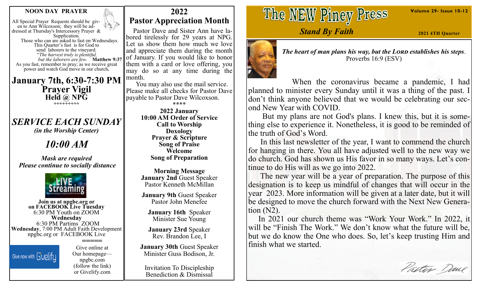### **NOON DAY PRAYER**

All Special Prayer Requests should be given to Ann Wilcoxson; they will be addressed at Thursday's Intercessory Prayer & Supplication. Those who can are asked to fast on Wednesdays. This Quarter's fast is for God to send laborers to the vineyard. "*The harvest truly is plentiful, but the laborers are few.* **Matthew 9:37**  As you fast, remember to pray; as we receive great power and watch God move in our church**.**

**January 7th, 6:30-7:30 PM Prayer Vigil Held @ NPG +++++++++**

*SERVICE EACH SUNDAY (in the Worship Center)*

*10:00 AM*

*Mask are required Please continue to socially distance*



**Join us at npgbc.org or on FACEBOOK Live Tuesday** 6:30 PM Youth on ZOOM **Wednesday** 6:30 PM Partims ZOOM **Wednesday**, 7:00 PM Adult Faith Development npgbc.org or FACEBOOK Live



**=====** Give online at Our homepage npgbc.com (follow the link) or Givelify.com

# **2022 Pastor Appreciation Month**

 Pastor Dave and Sister Ann have labored tirelessly for 29 years at NPG. Let us show them how much we love and appreciate them during the month of January. If you would like to honor them with a card or love offering, you may do so at any time during the month.

 You may also use the mail service. Please make all checks for Pastor Dave payable to Pastor Dave Wilcoxson. \*\*\*\*

> **2022 January 10:00 AM Order of Service Call to Worship Doxology Prayer & Scripture Song of Praise Welcome Song of Preparation**

> **Morning Message January 2nd** Guest Speaker Pastor Kenneth McMillan

**January 9th** Guest Speaker Pastor John Menefee

**January 16th** Speaker Minister Sue Young

**January 23rd** Speaker Rev. Brandon Lee, I

**January 30th** Guest Speaker Minister Guss Bodison, Jr.

Invitation To Discipleship Benediction & Dismissal

# The NEW Piney Press

*Stand By Faith*



*The heart of man plans his way, but the Lord establishes his steps*. Proverbs 16:9 (ESV)

 When the coronavirus became a pandemic, I had planned to minister every Sunday until it was a thing of the past. I don't think anyone believed that we would be celebrating our second New Year with COVID.

 But my plans are not God's plans. I knew this, but it is something else to experience it. Nonetheless, it is good to be reminded of the truth of God's Word.

 In this last newsletter of the year, I want to commend the church for hanging in there. You all have adjusted well to the new way we do church. God has shown us His favor in so many ways. Let's continue to do His will as we go into 2022.

 The new year will be a year of preparation. The purpose of this designation is to keep us mindful of changes that will occur in the year 2023. More information will be given at a later date, but it will be designed to move the church forward with the Next New Generation (N2).

 In 2021 our church theme was "Work Your Work." In 2022, it will be "Finish The Work." We don't know what the future will be, but we do know the One who does. So, let's keep trusting Him and finish what we started.

Pastor Dane

**Volume 29- Issue 10-12**

**2021 4TH Quarter**